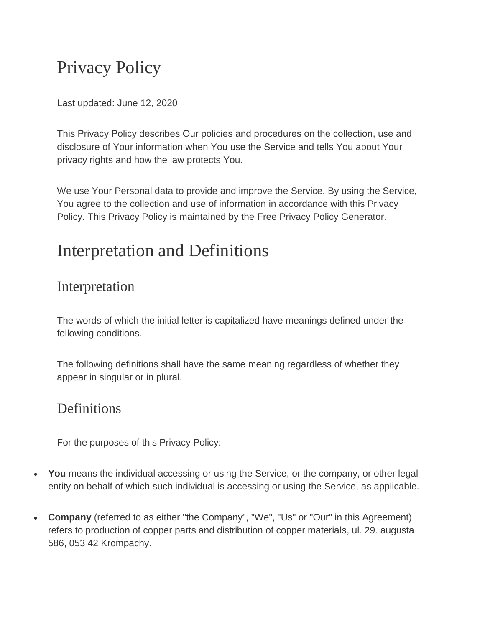# Privacy Policy

Last updated: June 12, 2020

This Privacy Policy describes Our policies and procedures on the collection, use and disclosure of Your information when You use the Service and tells You about Your privacy rights and how the law protects You.

We use Your Personal data to provide and improve the Service. By using the Service, You agree to the collection and use of information in accordance with this Privacy Policy. This Privacy Policy is maintained by the [Free Privacy Policy Generator.](https://www.freeprivacypolicy.com/free-privacy-policy-generator/)

## Interpretation and Definitions

### Interpretation

The words of which the initial letter is capitalized have meanings defined under the following conditions.

The following definitions shall have the same meaning regardless of whether they appear in singular or in plural.

### **Definitions**

For the purposes of this Privacy Policy:

- **You** means the individual accessing or using the Service, or the company, or other legal entity on behalf of which such individual is accessing or using the Service, as applicable.
- **Company** (referred to as either "the Company", "We", "Us" or "Our" in this Agreement) refers to production of copper parts and distribution of copper materials, ul. 29. augusta 586, 053 42 Krompachy.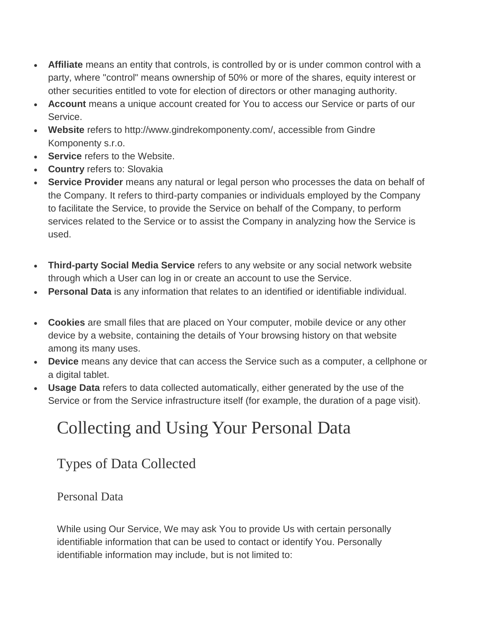- **Affiliate** means an entity that controls, is controlled by or is under common control with a party, where "control" means ownership of 50% or more of the shares, equity interest or other securities entitled to vote for election of directors or other managing authority.
- **Account** means a unique account created for You to access our Service or parts of our Service.
- **Website** refers to http://www.gindrekomponenty.com/, accessible from Gindre Komponenty s.r.o.
- **Service** refers to the Website.
- **Country** refers to: Slovakia
- **Service Provider** means any natural or legal person who processes the data on behalf of the Company. It refers to third-party companies or individuals employed by the Company to facilitate the Service, to provide the Service on behalf of the Company, to perform services related to the Service or to assist the Company in analyzing how the Service is used.
- **Third-party Social Media Service** refers to any website or any social network website through which a User can log in or create an account to use the Service.
- **Personal Data** is any information that relates to an identified or identifiable individual.
- **Cookies** are small files that are placed on Your computer, mobile device or any other device by a website, containing the details of Your browsing history on that website among its many uses.
- **Device** means any device that can access the Service such as a computer, a cellphone or a digital tablet.
- **Usage Data** refers to data collected automatically, either generated by the use of the Service or from the Service infrastructure itself (for example, the duration of a page visit).

# Collecting and Using Your Personal Data

## Types of Data Collected

#### Personal Data

While using Our Service, We may ask You to provide Us with certain personally identifiable information that can be used to contact or identify You. Personally identifiable information may include, but is not limited to: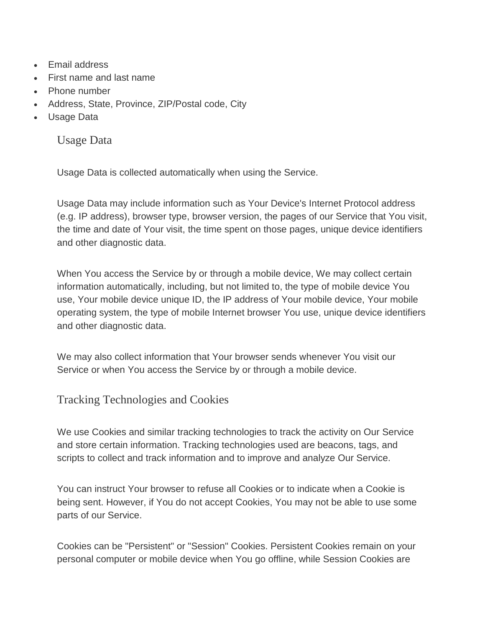- Fmail address
- First name and last name
- Phone number
- Address, State, Province, ZIP/Postal code, City
- Usage Data

Usage Data

Usage Data is collected automatically when using the Service.

Usage Data may include information such as Your Device's Internet Protocol address (e.g. IP address), browser type, browser version, the pages of our Service that You visit, the time and date of Your visit, the time spent on those pages, unique device identifiers and other diagnostic data.

When You access the Service by or through a mobile device, We may collect certain information automatically, including, but not limited to, the type of mobile device You use, Your mobile device unique ID, the IP address of Your mobile device, Your mobile operating system, the type of mobile Internet browser You use, unique device identifiers and other diagnostic data.

We may also collect information that Your browser sends whenever You visit our Service or when You access the Service by or through a mobile device.

Tracking Technologies and Cookies

We use Cookies and similar tracking technologies to track the activity on Our Service and store certain information. Tracking technologies used are beacons, tags, and scripts to collect and track information and to improve and analyze Our Service.

You can instruct Your browser to refuse all Cookies or to indicate when a Cookie is being sent. However, if You do not accept Cookies, You may not be able to use some parts of our Service.

Cookies can be "Persistent" or "Session" Cookies. Persistent Cookies remain on your personal computer or mobile device when You go offline, while Session Cookies are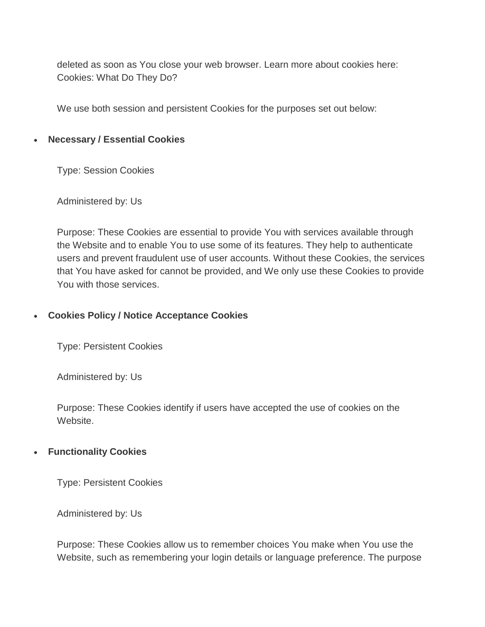deleted as soon as You close your web browser. Learn more about cookies here: [Cookies: What Do They Do?](https://www.freeprivacypolicy.com/blog/cookies/)

We use both session and persistent Cookies for the purposes set out below:

#### **Necessary / Essential Cookies**

Type: Session Cookies

Administered by: Us

Purpose: These Cookies are essential to provide You with services available through the Website and to enable You to use some of its features. They help to authenticate users and prevent fraudulent use of user accounts. Without these Cookies, the services that You have asked for cannot be provided, and We only use these Cookies to provide You with those services.

#### **Cookies Policy / Notice Acceptance Cookies**

Type: Persistent Cookies

Administered by: Us

Purpose: These Cookies identify if users have accepted the use of cookies on the Website.

#### **Functionality Cookies**

Type: Persistent Cookies

Administered by: Us

Purpose: These Cookies allow us to remember choices You make when You use the Website, such as remembering your login details or language preference. The purpose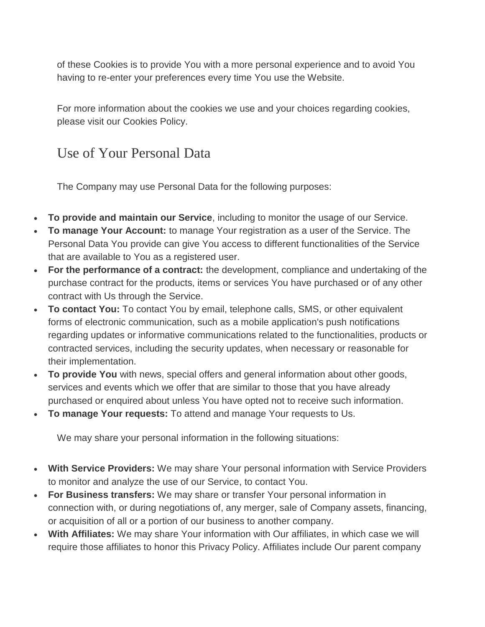of these Cookies is to provide You with a more personal experience and to avoid You having to re-enter your preferences every time You use the Website.

For more information about the cookies we use and your choices regarding cookies, please visit our Cookies Policy.

Use of Your Personal Data

The Company may use Personal Data for the following purposes:

- **To provide and maintain our Service**, including to monitor the usage of our Service.
- **To manage Your Account:** to manage Your registration as a user of the Service. The Personal Data You provide can give You access to different functionalities of the Service that are available to You as a registered user.
- **For the performance of a contract:** the development, compliance and undertaking of the purchase contract for the products, items or services You have purchased or of any other contract with Us through the Service.
- **To contact You:** To contact You by email, telephone calls, SMS, or other equivalent forms of electronic communication, such as a mobile application's push notifications regarding updates or informative communications related to the functionalities, products or contracted services, including the security updates, when necessary or reasonable for their implementation.
- **To provide You** with news, special offers and general information about other goods, services and events which we offer that are similar to those that you have already purchased or enquired about unless You have opted not to receive such information.
- **To manage Your requests:** To attend and manage Your requests to Us.

We may share your personal information in the following situations:

- **With Service Providers:** We may share Your personal information with Service Providers to monitor and analyze the use of our Service, to contact You.
- **For Business transfers:** We may share or transfer Your personal information in connection with, or during negotiations of, any merger, sale of Company assets, financing, or acquisition of all or a portion of our business to another company.
- **With Affiliates:** We may share Your information with Our affiliates, in which case we will require those affiliates to honor this Privacy Policy. Affiliates include Our parent company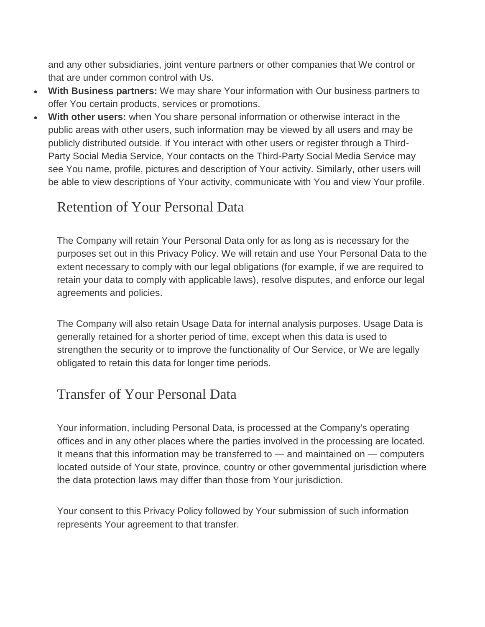and any other subsidiaries, joint venture partners or other companies that We control or that are under common control with Us.

- **With Business partners:** We may share Your information with Our business partners to offer You certain products, services or promotions.
- **With other users:** when You share personal information or otherwise interact in the public areas with other users, such information may be viewed by all users and may be publicly distributed outside. If You interact with other users or register through a Third-Party Social Media Service, Your contacts on the Third-Party Social Media Service may see You name, profile, pictures and description of Your activity. Similarly, other users will be able to view descriptions of Your activity, communicate with You and view Your profile.

## Retention of Your Personal Data

The Company will retain Your Personal Data only for as long as is necessary for the purposes set out in this Privacy Policy. We will retain and use Your Personal Data to the extent necessary to comply with our legal obligations (for example, if we are required to retain your data to comply with applicable laws), resolve disputes, and enforce our legal agreements and policies.

The Company will also retain Usage Data for internal analysis purposes. Usage Data is generally retained for a shorter period of time, except when this data is used to strengthen the security or to improve the functionality of Our Service, or We are legally obligated to retain this data for longer time periods.

## Transfer of Your Personal Data

Your information, including Personal Data, is processed at the Company's operating offices and in any other places where the parties involved in the processing are located. It means that this information may be transferred to — and maintained on — computers located outside of Your state, province, country or other governmental jurisdiction where the data protection laws may differ than those from Your jurisdiction.

Your consent to this Privacy Policy followed by Your submission of such information represents Your agreement to that transfer.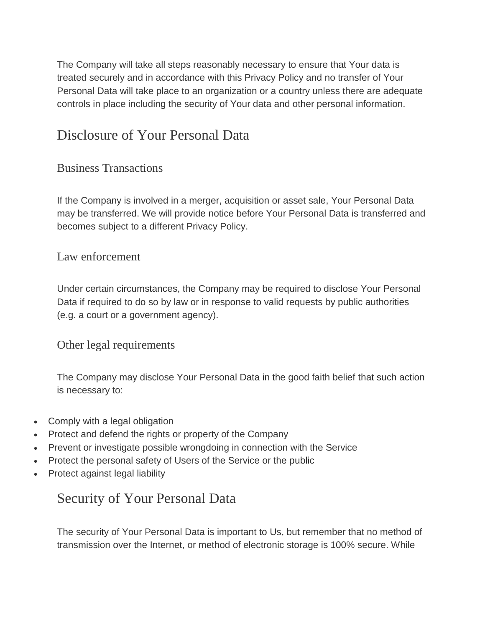The Company will take all steps reasonably necessary to ensure that Your data is treated securely and in accordance with this Privacy Policy and no transfer of Your Personal Data will take place to an organization or a country unless there are adequate controls in place including the security of Your data and other personal information.

### Disclosure of Your Personal Data

#### Business Transactions

If the Company is involved in a merger, acquisition or asset sale, Your Personal Data may be transferred. We will provide notice before Your Personal Data is transferred and becomes subject to a different Privacy Policy.

#### Law enforcement

Under certain circumstances, the Company may be required to disclose Your Personal Data if required to do so by law or in response to valid requests by public authorities (e.g. a court or a government agency).

#### Other legal requirements

The Company may disclose Your Personal Data in the good faith belief that such action is necessary to:

- Comply with a legal obligation
- Protect and defend the rights or property of the Company
- Prevent or investigate possible wrongdoing in connection with the Service
- Protect the personal safety of Users of the Service or the public
- Protect against legal liability

### Security of Your Personal Data

The security of Your Personal Data is important to Us, but remember that no method of transmission over the Internet, or method of electronic storage is 100% secure. While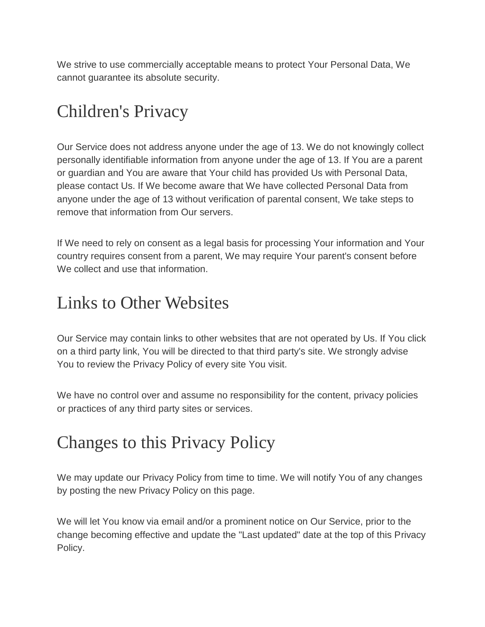We strive to use commercially acceptable means to protect Your Personal Data, We cannot guarantee its absolute security.

# Children's Privacy

Our Service does not address anyone under the age of 13. We do not knowingly collect personally identifiable information from anyone under the age of 13. If You are a parent or guardian and You are aware that Your child has provided Us with Personal Data, please contact Us. If We become aware that We have collected Personal Data from anyone under the age of 13 without verification of parental consent, We take steps to remove that information from Our servers.

If We need to rely on consent as a legal basis for processing Your information and Your country requires consent from a parent, We may require Your parent's consent before We collect and use that information.

## Links to Other Websites

Our Service may contain links to other websites that are not operated by Us. If You click on a third party link, You will be directed to that third party's site. We strongly advise You to review the Privacy Policy of every site You visit.

We have no control over and assume no responsibility for the content, privacy policies or practices of any third party sites or services.

## Changes to this Privacy Policy

We may update our Privacy Policy from time to time. We will notify You of any changes by posting the new Privacy Policy on this page.

We will let You know via email and/or a prominent notice on Our Service, prior to the change becoming effective and update the "Last updated" date at the top of this Privacy Policy.